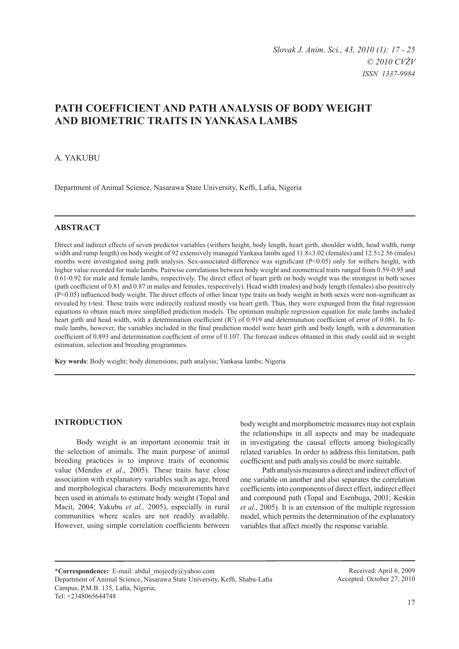# **PATH COEFFICIENT AND PATH ANALYSIS OF BODY WEIGHT AND BIOMETRIC TRAITS IN YANKASA LAMBS**

## A. Yakubu

Department of Animal Science, Nasarawa State University, Keffi, Lafia, Nigeria

## **ABSTRACT**

Direct and indirect effects of seven predictor variables (withers height, body length, heart girth, shoulder width, head width, rump width and rump length) on body weight of 92 extensively managed Yankasa lambs aged 11.8±3.02 (females) and 12.5±2.56 (males) months were investigated using path analysis. Sex-associated difference was significant (P<0.05) only for withers height, with higher value recorded for male lambs. Pairwise correlations between body weight and zoometrical traits ranged from 0.59-0.95 and 0.61-0.92 for male and female lambs, respectively. The direct effect of heart girth on body weight was the strongest in both sexes (path coefficient of 0.81 and 0.87 in males and females, respectively). Head width (males) and body length (females) also positively  $(P<0.05)$  influenced body weight. The direct effects of other linear type traits on body weight in both sexes were non-significant as revealed by t-test. These traits were indirectly realized mostly via heart girth. Thus, they were expunged from the final regression equations to obtain much more simplified prediction models. The optimum multiple regression equation for male lambs included heart girth and head width, with a determination coefficient (R<sup>2</sup>) of 0.919 and determination coefficient of error of 0.081. In female lambs, however, the variables included in the final prediction model were heart girth and body length, with a determination coefficient of 0.893 and determination coefficient of error of 0.107. The forecast indices obtained in this study could aid in weight estimation, selection and breeding programmes.

**Key words**: Body weight; body dimensions; path analysis; Yankasa lambs; Nigeria

#### **INTRODUCTION**

Body weight is an important economic trait in the selection of animals. The main purpose of animal breeding practices is to improve traits of economic value (Mendes *et al*., 2005). These traits have close association with explanatory variables such as age, breed and morphological characters. Body measurements have been used in animals to estimate body weight (Topal and Macit, 2004; Yakubu *et al.,* 2005), especially in rural communities where scales are not readily available. However, using simple correlation coefficients between

body weight and morphometric measures may not explain the relationships in all aspects and may be inadequate in investigating the causal effects among biologically related variables. In order to address this limitation, path coefficient and path analysis could be more suitable.

Path analysis measures a direct and indirect effect of one variable on another and also separates the correlation coefficients into components of direct effect, indirect effect and compound path (Topal and Esenbuga, 2001; Keskin *et al*., 2005). It is an extension of the multiple regression model, which permits the determination of the explanatory variables that affect mostly the response variable.

**\*Correspondence:** E-mail: abdul\_mojeedy@yahoo.com Department of Animal Science, Nasarawa State University, Keffi, Shabu-Lafia Campus, P.M.B. 135, Lafia, Nigeria; Tel: +2348065644748

Received: April 6, 2009 Accepted: October 27, 2010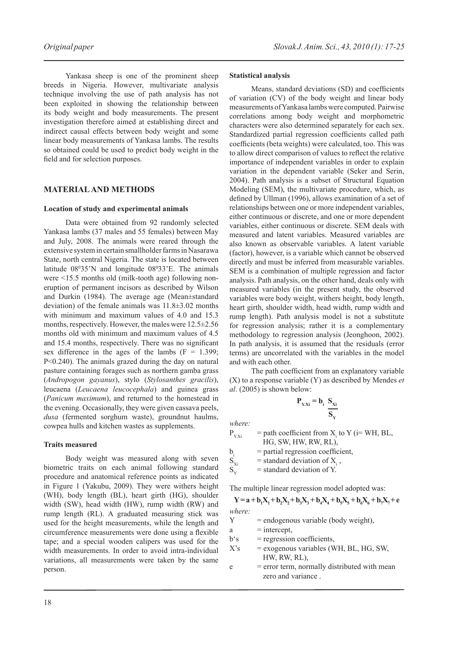Yankasa sheep is one of the prominent sheep breeds in Nigeria. However, multivariate analysis technique involving the use of path analysis has not been exploited in showing the relationship between its body weight and body measurements. The present investigation therefore aimed at establishing direct and indirect causal effects between body weight and some linear body measurements of Yankasa lambs. The results so obtained could be used to predict body weight in the field and for selection purposes.

# **MATERIAL AND METHODS**

#### **Location of study and experimental animals**

Data were obtained from 92 randomly selected Yankasa lambs (37 males and 55 females) between May and July, 2008. The animals were reared through the extensive system in certain smallholder farms in Nasarawa State, north central Nigeria. The state is located between latitude  $08^035'$ N and longitude  $08^033'$ E. The animals were <15.5 months old (milk-tooth age) following noneruption of permanent incisors as described by Wilson and Durkin (1984). The average age (Mean±standard deviation) of the female animals was 11.8±3.02 months with minimum and maximum values of 4.0 and 15.3 months, respectively. However, the males were 12.5±2.56 months old with minimum and maximum values of 4.5 and 15.4 months, respectively. There was no significant sex difference in the ages of the lambs  $(F = 1.399)$ ; P<0.240). The animals grazed during the day on natural pasture containing forages such as northern gamba grass (*Andropogon gayanus*), stylo (*Stylosanthes gracilis*), leucaena (*Leucaena leucocephala*) and guinea grass (*Panicum maximum*), and returned to the homestead in the evening. Occasionally, they were given cassava peels, *dusa* (fermented sorghum waste), groundnut haulms, cowpea hulls and kitchen wastes as supplements.

#### **Traits measured**

Body weight was measured along with seven biometric traits on each animal following standard procedure and anatomical reference points as indicated in Figure 1 (Yakubu, 2009). They were withers height (WH), body length (BL), heart girth (HG), shoulder width (SW), head width (HW), rump width (RW) and rump length (RL). A graduated measuring stick was used for the height measurements, while the length and circumference measurements were done using a flexible tape; and a special wooden calipers was used for the width measurements. In order to avoid intra-individual variations, all measurements were taken by the same person.

#### **Statistical analysis**

Means, standard deviations (SD) and coefficients of variation (CV) of the body weight and linear body measurements of Yankasa lambs were computed. Pairwise correlations among body weight and morphometric characters were also determined separately for each sex. Standardized partial regression coefficients called path coefficients (beta weights) were calculated, too. This was to allow direct comparison of values to reflect the relative importance of independent variables in order to explain variation in the dependent variable (Seker and Serin, 2004). Path analysis is a subset of Structural Equation Modeling (SEM), the multivariate procedure, which, as defined by Ullman (1996), allows examination of a set of relationships between one or more independent variables, either continuous or discrete, and one or more dependent variables, either continuous or discrete. SEM deals with measured and latent variables. Measured variables are also known as observable variables. A latent variable (factor), however, is a variable which cannot be observed directly and must be inferred from measurable variables. SEM is a combination of multiple regression and factor analysis. Path analysis, on the other hand, deals only with measured variables (in the present study, the observed variables were body weight, withers height, body length, heart girth, shoulder width, head width, rump width and rump length). Path analysis model is not a substitute for regression analysis; rather it is a complementary methodology to regression analysis (Jeonghoon, 2002). In path analysis, it is assumed that the residuals (error terms) are uncorrelated with the variables in the model and with each other.

The path coefficient from an explanatory variable (X) to a response variable (Y) as described by Mendes *et al*. (2005) is shown below:

$$
\mathbf{P}_{Y.Xi} = \mathbf{b}_i \frac{\mathbf{S}_{Xi}}{\mathbf{S}_Y}
$$

*where:*

 $P_{Y.Xi}$  = path coefficient from  $X_i$  to Y (i= WH, BL, HG, SW, HW, RW, RL), b<sub>i</sub> = partial regression coefficient,<br>S<sub>xi</sub> = standard deviation of X<sub>i</sub>,  $S_{xi}$  = standard deviation of  $X_i$ ,  $S_{\rm v}$  = standard deviation of Y.

The multiple linear regression model adopted was:

$$
Y = a + b_1 X_1 + b_2 X_2 + b_3 X_3 + b_4 X_4 + b_5 X_5 + b_6 X_6 + b_7 X_7 + e
$$
  
where:  
Y = endogenous variable (body weight).

 $=$  endogenous variable (body weight),

 $a =$ intercept,

- $b's$  = regression coefficients,
- $X$ 's = exogenous variables (WH, BL, HG, SW, HW, RW, RL),
- $e$  = error term, normally distributed with mean zero and variance .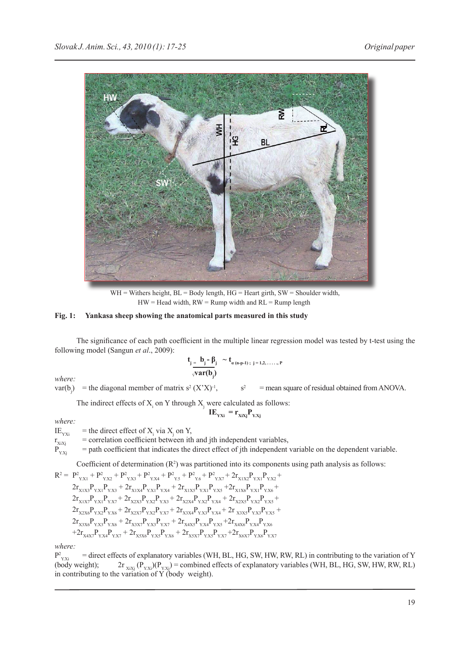

 $WH = W$  ithers height,  $BL = Body$  length,  $HG = Heart$  girth,  $SW = Shoulder$  width,  $HW = Head$  width,  $RW = Rump$  width and  $RL = Rump$  length

## **Fig. 1: Yankasa sheep showing the anatomical parts measured in this study**

The significance of each path coefficient in the multiple linear regression model was tested by t-test using the following model (Sangun *et al*., 2009):

where:  
\n
$$
\frac{\mathbf{t}_j - \mathbf{b}_j - \mathbf{b}_i}{\sqrt{\mathbf{var}(\mathbf{b}_j)}}
$$
\nwhere:

 $var(b_i)$ ) = the diagonal member of matrix  $s^2$   $(X'X)^{-1}$ ,  $s^2$  $s<sup>2</sup>$  = mean square of residual obtained from ANOVA.

The indirect effects of  $X_i$  on Y through  $X_j$  were calculated as follows:

$$
IE_{YXi} = r_{XiXj}P_{Y.Xj}
$$

*where:*

IE<sub>YXi</sub> = the direct effect of  $X_i$  via  $X_j$  on Y,

 $r_{XIXj}$  = correlation coefficient between ith and jth independent variables,<br> $P_{Y.Xi}$  = path coefficient that indicates the direct effect of jth independent  $=$  path coefficient that indicates the direct effect of jth independent variable on the dependent variable.

Coefficient of determination  $(R<sup>2</sup>)$  was partitioned into its components using path analysis as follows:

$$
R^2 = P^2_{YX1} + P^2_{YX2} + P^2_{YX3} + P^2_{YX4} + P^2_{Y5} + P^2_{Y6} + P^2_{YX7} + 2r_{X1X2}P_{YX1}P_{YX2} +2r_{X1X3}P_{YX1}P_{YX3} + 2r_{X1X4}P_{YX1}P_{YX4} + 2r_{X1X5}P_{YX1}P_{YX5} + 2r_{X1X6}P_{YX1}P_{YX6} +2r_{X1X7}P_{YX1}P_{YX7} + 2r_{X2X3}P_{YX2}P_{YX3} + 2r_{X2X4}P_{YX2}P_{Y.X4} + 2r_{X2X5}P_{YX2}P_{YX5} +2r_{X2X6}P_{YX2}P_{YX6} + 2r_{X2XY}P_{YX2}P_{YX7} + 2r_{X3X4}P_{YX3}P_{Y.X4} + 2r_{X3X5}P_{YX3}P_{YX5} +2r_{X3X6}P_{YX3}P_{YX6} + 2r_{X3XY}P_{YX3}P_{YX7} + 2r_{X4X5}P_{YX4}P_{YX5} + 2r_{X4X6}P_{YX4}P_{YX6} ++2r_{X4X7}P_{YX4}P_{YX7} + 2r_{X5X6}P_{YX5}P_{YX6} + 2r_{X5XY}P_{YX5}P_{YX7} + 2r_{X6X7}P_{YX6}P_{YX7}
$$

*where:*

 $P_{Y,Xi}^2$  $\vec{y}$  = direct effects of explanatory variables (WH, BL, HG, SW, HW, RW, RL) in contributing to the variation of Y (body weight); 2r  $_{X_iX_j}$  (P<sub>Y.Xi</sub>)(P<sub>Y.Xj</sub>) = combined effects of explanatory variables (WH, BL, HG, SW, HW, RW, RL) in contributing to the variation of Y (body weight).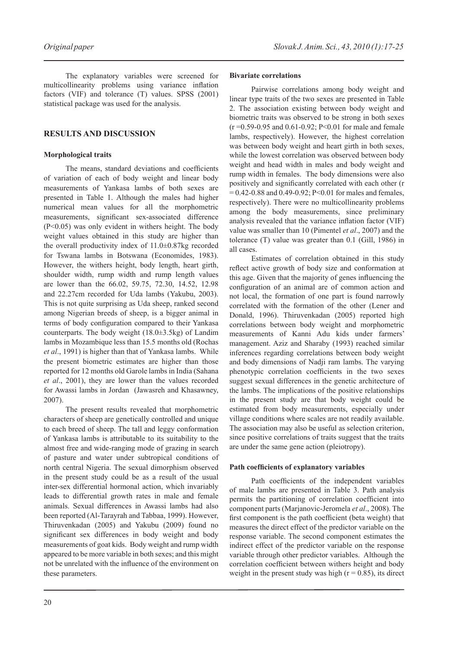The explanatory variables were screened for multicollinearity problems using variance inflation factors (VIF) and tolerance (T) values. SPSS (2001) statistical package was used for the analysis.

# **RESULTS AND DISCUSSION**

## **Morphological traits**

The means, standard deviations and coefficients of variation of each of body weight and linear body measurements of Yankasa lambs of both sexes are presented in Table 1. Although the males had higher numerical mean values for all the morphometric measurements, significant sex-associated difference (P<0.05) was only evident in withers height. The body weight values obtained in this study are higher than the overall productivity index of 11.0±0.87kg recorded for Tswana lambs in Botswana (Economides, 1983). However, the withers height, body length, heart girth, shoulder width, rump width and rump length values are lower than the 66.02, 59.75, 72.30, 14.52, 12.98 and 22.27cm recorded for Uda lambs (Yakubu, 2003). This is not quite surprising as Uda sheep, ranked second among Nigerian breeds of sheep, is a bigger animal in terms of body configuration compared to their Yankasa counterparts. The body weight (18.0±3.5kg) of Landim lambs in Mozambique less than 15.5 months old (Rochas *et al*., 1991) is higher than that of Yankasa lambs. While the present biometric estimates are higher than those reported for 12 months old Garole lambs in India (Sahana *et al*., 2001), they are lower than the values recorded for Awassi lambs in Jordan (Jawasreh and Khasawney, 2007).

The present results revealed that morphometric characters of sheep are genetically controlled and unique to each breed of sheep. The tall and leggy conformation of Yankasa lambs is attributable to its suitability to the almost free and wide-ranging mode of grazing in search of pasture and water under subtropical conditions of north central Nigeria. The sexual dimorphism observed in the present study could be as a result of the usual inter-sex differential hormonal action, which invariably leads to differential growth rates in male and female animals. Sexual differences in Awassi lambs had also been reported (Al-Tarayrah and Tabbaa, 1999). However, Thiruvenkadan (2005) and Yakubu (2009) found no significant sex differences in body weight and body measurements of goat kids. Body weight and rump width appeared to be more variable in both sexes; and this might not be unrelated with the influence of the environment on these parameters.

## **Bivariate correlations**

Pairwise correlations among body weight and linear type traits of the two sexes are presented in Table 2. The association existing between body weight and biometric traits was observed to be strong in both sexes  $(r = 0.59 - 0.95$  and  $0.61 - 0.92$ ; P<0.01 for male and female lambs, respectively). However, the highest correlation was between body weight and heart girth in both sexes, while the lowest correlation was observed between body weight and head width in males and body weight and rump width in females. The body dimensions were also positively and significantly correlated with each other (r  $= 0.42 - 0.88$  and  $0.49 - 0.92$ ; P<0.01 for males and females, respectively). There were no multicollinearity problems among the body measurements, since preliminary analysis revealed that the variance inflation factor (VIF) value was smaller than 10 (Pimentel *et al*., 2007) and the tolerance (T) value was greater than 0.1 (Gill, 1986) in all cases.

Estimates of correlation obtained in this study reflect active growth of body size and conformation at this age. Given that the majority of genes influencing the configuration of an animal are of common action and not local, the formation of one part is found narrowly correlated with the formation of the other (Lener and Donald, 1996). Thiruvenkadan (2005) reported high correlations between body weight and morphometric measurements of Kanni Adu kids under farmers' management. Aziz and Sharaby (1993) reached similar inferences regarding correlations between body weight and body dimensions of Nadji ram lambs. The varying phenotypic correlation coefficients in the two sexes suggest sexual differences in the genetic architecture of the lambs. The implications of the positive relationships in the present study are that body weight could be estimated from body measurements, especially under village conditions where scales are not readily available. The association may also be useful as selection criterion, since positive correlations of traits suggest that the traits are under the same gene action (pleiotropy).

## **Path coefficients of explanatory variables**

Path coefficients of the independent variables of male lambs are presented in Table 3. Path analysis permits the partitioning of correlation coefficient into component parts (Marjanovic-Jeromela *et al*., 2008). The first component is the path coefficient (beta weight) that measures the direct effect of the predictor variable on the response variable. The second component estimates the indirect effect of the predictor variable on the response variable through other predictor variables. Although the correlation coefficient between withers height and body weight in the present study was high  $(r = 0.85)$ , its direct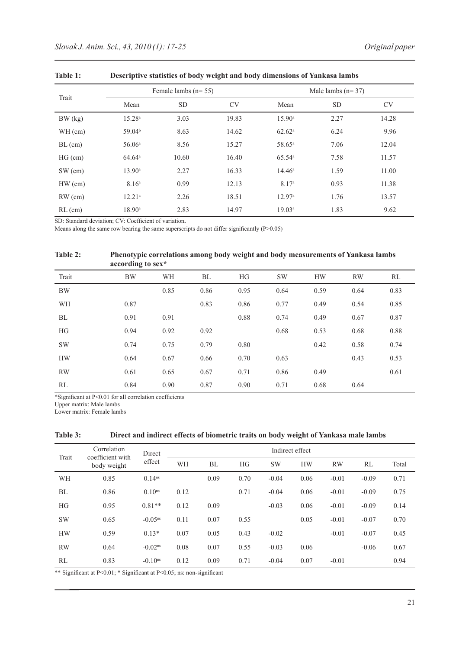|           |                    | Female lambs $(n=55)$ |           |                    | Male lambs $(n=37)$ |           |
|-----------|--------------------|-----------------------|-----------|--------------------|---------------------|-----------|
| Trait     | Mean               | <b>SD</b>             | <b>CV</b> | Mean               | <b>SD</b>           | <b>CV</b> |
| BW (kg)   | $15.28^{a}$        | 3.03                  | 19.83     | $15.90^{\circ}$    | 2.27                | 14.28     |
| WH (cm)   | 59.04 <sup>b</sup> | 8.63                  | 14.62     | $62.62^a$          | 6.24                | 9.96      |
| $BL$ (cm) | 56.06 <sup>a</sup> | 8.56                  | 15.27     | 58.65 <sup>a</sup> | 7.06                | 12.04     |
| $HG$ (cm) | $64.64^{\circ}$    | 10.60                 | 16.40     | 65.54a             | 7.58                | 11.57     |
| SW (cm)   | $13.90^{\rm a}$    | 2.27                  | 16.33     | $14.46^a$          | 1.59                | 11.00     |
| $HW$ (cm) | 8.16 <sup>a</sup>  | 0.99                  | 12.13     | 8.17 <sup>a</sup>  | 0.93                | 11.38     |
| $RW$ (cm) | $12.21^a$          | 2.26                  | 18.51     | 12.97 <sup>a</sup> | 1.76                | 13.57     |
| $RL$ (cm) | $18.90^{\rm a}$    | 2.83                  | 14.97     | 19.03 <sup>a</sup> | 1.83                | 9.62      |

**Table 1: Descriptive statistics of body weight and body dimensions of Yankasa lambs**

SD: Standard deviation; CV: Coefficient of variation**.**

Means along the same row bearing the same superscripts do not differ significantly (P>0.05)

#### **Table 2: Phenotypic correlations among body weight and body measurements of Yankasa lambs according to sex\***

| Trait     | <b>BW</b> | WH   | BL   | HG   | <b>SW</b> | <b>HW</b> | <b>RW</b> | RL   |
|-----------|-----------|------|------|------|-----------|-----------|-----------|------|
| <b>BW</b> |           | 0.85 | 0.86 | 0.95 | 0.64      | 0.59      | 0.64      | 0.83 |
| WH        | 0.87      |      | 0.83 | 0.86 | 0.77      | 0.49      | 0.54      | 0.85 |
| BL        | 0.91      | 0.91 |      | 0.88 | 0.74      | 0.49      | 0.67      | 0.87 |
| HG        | 0.94      | 0.92 | 0.92 |      | 0.68      | 0.53      | 0.68      | 0.88 |
| <b>SW</b> | 0.74      | 0.75 | 0.79 | 0.80 |           | 0.42      | 0.58      | 0.74 |
| <b>HW</b> | 0.64      | 0.67 | 0.66 | 0.70 | 0.63      |           | 0.43      | 0.53 |
| <b>RW</b> | 0.61      | 0.65 | 0.67 | 0.71 | 0.86      | 0.49      |           | 0.61 |
| RL        | 0.84      | 0.90 | 0.87 | 0.90 | 0.71      | 0.68      | 0.64      |      |

\*Significant at P<0.01 for all correlation coefficients

Upper matrix: Male lambs

Lower matrix: Female lambs

| <b>Table 3:</b> | Direct and indirect effects of biometric traits on body weight of Yankasa male lambs |  |  |
|-----------------|--------------------------------------------------------------------------------------|--|--|
|                 |                                                                                      |  |  |

| Trait     | Correlation<br>coefficient with | Direct                | Indirect effect |      |      |           |           |           |         |       |
|-----------|---------------------------------|-----------------------|-----------------|------|------|-----------|-----------|-----------|---------|-------|
|           | body weight                     | effect                | WH              | BL   | HG   | <b>SW</b> | <b>HW</b> | <b>RW</b> | RL      | Total |
| WH        | 0.85                            | $0.14^{ns}$           |                 | 0.09 | 0.70 | $-0.04$   | 0.06      | $-0.01$   | $-0.09$ | 0.71  |
| BL        | 0.86                            | $0.10^{ns}$           | 0.12            |      | 0.71 | $-0.04$   | 0.06      | $-0.01$   | $-0.09$ | 0.75  |
| <b>HG</b> | 0.95                            | $0.81**$              | 0.12            | 0.09 |      | $-0.03$   | 0.06      | $-0.01$   | $-0.09$ | 0.14  |
| <b>SW</b> | 0.65                            | $-0.05^{ns}$          | 0.11            | 0.07 | 0.55 |           | 0.05      | $-0.01$   | $-0.07$ | 0.70  |
| <b>HW</b> | 0.59                            | $0.13*$               | 0.07            | 0.05 | 0.43 | $-0.02$   |           | $-0.01$   | $-0.07$ | 0.45  |
| <b>RW</b> | 0.64                            | $-0.02$ <sup>ns</sup> | 0.08            | 0.07 | 0.55 | $-0.03$   | 0.06      |           | $-0.06$ | 0.67  |
| RL        | 0.83                            | $-0.10$ <sup>ns</sup> | 0.12            | 0.09 | 0.71 | $-0.04$   | 0.07      | $-0.01$   |         | 0.94  |

\*\* Significant at P<0.01; \* Significant at P<0.05; ns: non-significant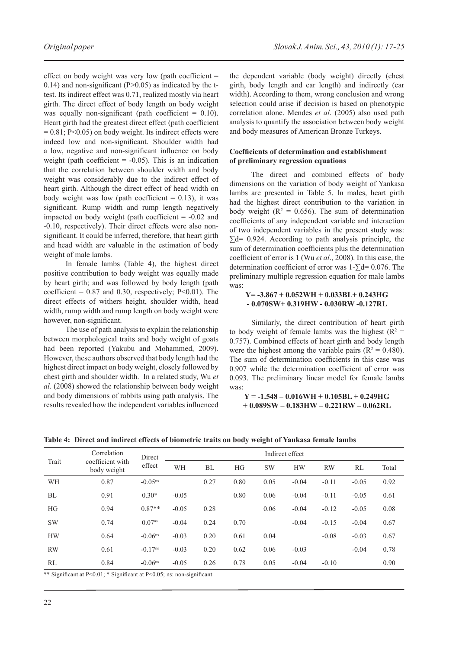effect on body weight was very low (path coefficient  $=$ 0.14) and non-significant ( $P > 0.05$ ) as indicated by the ttest. Its indirect effect was 0.71, realized mostly via heart girth. The direct effect of body length on body weight was equally non-significant (path coefficient  $= 0.10$ ). Heart girth had the greatest direct effect (path coefficient  $= 0.81$ ; P<0.05) on body weight. Its indirect effects were indeed low and non-significant. Shoulder width had a low, negative and non-significant influence on body weight (path coefficient  $= -0.05$ ). This is an indication that the correlation between shoulder width and body weight was considerably due to the indirect effect of heart girth. Although the direct effect of head width on body weight was low (path coefficient  $= 0.13$ ), it was significant. Rump width and rump length negatively impacted on body weight (path coefficient  $= -0.02$  and -0.10, respectively). Their direct effects were also nonsignificant. It could be inferred, therefore, that heart girth and head width are valuable in the estimation of body weight of male lambs.

In female lambs (Table 4), the highest direct positive contribution to body weight was equally made by heart girth; and was followed by body length (path coefficient =  $0.87$  and  $0.30$ , respectively; P<0.01). The direct effects of withers height, shoulder width, head width, rump width and rump length on body weight were however, non-significant.

The use of path analysis to explain the relationship between morphological traits and body weight of goats had been reported (Yakubu and Mohammed, 2009). However, these authors observed that body length had the highest direct impact on body weight, closely followed by chest girth and shoulder width. In a related study, Wu *et al.* (2008) showed the relationship between body weight and body dimensions of rabbits using path analysis. The results revealed how the independent variables influenced the dependent variable (body weight) directly (chest girth, body length and ear length) and indirectly (ear width). According to them, wrong conclusion and wrong selection could arise if decision is based on phenotypic correlation alone. Mendes *et al*. (2005) also used path analysis to quantify the association between body weight and body measures of American Bronze Turkeys.

#### **Coefficients of determination and establishment of preliminary regression equations**

The direct and combined effects of body dimensions on the variation of body weight of Yankasa lambs are presented in Table 5. In males, heart girth had the highest direct contribution to the variation in body weight ( $R^2 = 0.656$ ). The sum of determination coefficients of any independent variable and interaction of two independent variables in the present study was:  $\sum d = 0.924$ . According to path analysis principle, the sum of determination coefficients plus the determination coefficient of error is 1 (Wu *et al*., 2008). In this case, the determination coefficient of error was 1-∑d= 0.076. The preliminary multiple regression equation for male lambs was:

#### **Y= -3.867 + 0.052WH + 0.033BL+ 0.243HG - 0.070SW+ 0.319HW - 0.030RW -0.127RL**

Similarly, the direct contribution of heart girth to body weight of female lambs was the highest ( $R^2$  = 0.757). Combined effects of heart girth and body length were the highest among the variable pairs ( $R^2 = 0.480$ ). The sum of determination coefficients in this case was 0.907 while the determination coefficient of error was 0.093. The preliminary linear model for female lambs was:

## **Y = -1.548 – 0.016WH + 0.105BL + 0.249HG + 0.089SW – 0.183HW – 0.221RW – 0.062RL**

|           | Correlation                     | Direct                | Indirect effect |           |           |           |           |           |         |       |
|-----------|---------------------------------|-----------------------|-----------------|-----------|-----------|-----------|-----------|-----------|---------|-------|
| Trait     | coefficient with<br>body weight | effect                | WH              | <b>BL</b> | <b>HG</b> | <b>SW</b> | <b>HW</b> | <b>RW</b> | RL      | Total |
| WH        | 0.87                            | $-0.05$ <sup>ns</sup> |                 | 0.27      | 0.80      | 0.05      | $-0.04$   | $-0.11$   | $-0.05$ | 0.92  |
| BL        | 0.91                            | $0.30*$               | $-0.05$         |           | 0.80      | 0.06      | $-0.04$   | $-0.11$   | $-0.05$ | 0.61  |
| HG        | 0.94                            | $0.87**$              | $-0.05$         | 0.28      |           | 0.06      | $-0.04$   | $-0.12$   | $-0.05$ | 0.08  |
| <b>SW</b> | 0.74                            | 0.07 <sup>ns</sup>    | $-0.04$         | 0.24      | 0.70      |           | $-0.04$   | $-0.15$   | $-0.04$ | 0.67  |
| <b>HW</b> | 0.64                            | $-0.06$ <sup>ns</sup> | $-0.03$         | 0.20      | 0.61      | 0.04      |           | $-0.08$   | $-0.03$ | 0.67  |
| <b>RW</b> | 0.61                            | $-0.17$ <sup>ns</sup> | $-0.03$         | 0.20      | 0.62      | 0.06      | $-0.03$   |           | $-0.04$ | 0.78  |
| RL        | 0.84                            | $-0.06$ <sup>ns</sup> | $-0.05$         | 0.26      | 0.78      | 0.05      | $-0.04$   | $-0.10$   |         | 0.90  |

**Table 4: Direct and indirect effects of biometric traits on body weight of Yankasa female lambs**

\*\* Significant at P<0.01; \* Significant at P<0.05; ns: non-significant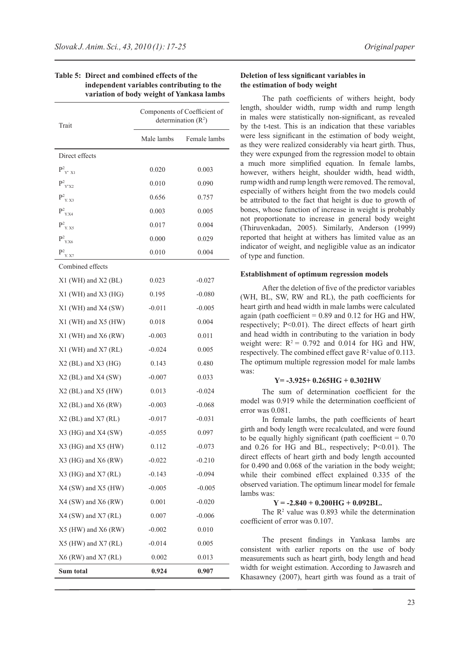| Trait                                   |            | Components of Coefficient of<br>determination $(R^2)$ |
|-----------------------------------------|------------|-------------------------------------------------------|
|                                         | Male lambs | Female lambs                                          |
| Direct effects                          |            |                                                       |
| $\mathbf{P^2}_{\rm Y'~X1}$              | 0.020      | 0.003                                                 |
| $\mathrm{P}^2_{\mathrm{~Y\,X2}}$        | 0.010      | 0.090                                                 |
| $P_{Y. X3}^2$                           | 0.656      | 0.757                                                 |
| $\mathbf{P}^2_{\mathbf{Y},\mathbf{X4}}$ | 0.003      | 0.005                                                 |
| $P_{Y. X5}^2$                           | 0.017      | 0.004                                                 |
| $\mathbf{P^2}_{\text{Y,X6}}$            | 0.000      | 0.029                                                 |
| $P^2$ <sub>Y. X7</sub>                  | 0.010      | 0.004                                                 |
| Combined effects                        |            |                                                       |
| $X1$ (WH) and $X2$ (BL)                 | 0.023      | $-0.027$                                              |
| $X1$ (WH) and $X3$ (HG)                 | 0.195      | $-0.080$                                              |
| $X1$ (WH) and $X4$ (SW)                 | $-0.011$   | $-0.005$                                              |
| X1 (WH) and X5 (HW)                     | 0.018      | 0.004                                                 |
| $X1$ (WH) and $X6$ (RW)                 | $-0.003$   | 0.011                                                 |
| $X1$ (WH) and $X7$ (RL)                 | $-0.024$   | 0.005                                                 |
| $X2$ (BL) and $X3$ (HG)                 | 0.143      | 0.480                                                 |
| $X2$ (BL) and $X4$ (SW)                 | $-0.007$   | 0.033                                                 |
| $X2$ (BL) and $X5$ (HW)                 | 0.013      | $-0.024$                                              |
| $X2$ (BL) and $X6$ (RW)                 | $-0.003$   | $-0.068$                                              |
| $X2$ (BL) and $X7$ (RL)                 | $-0.017$   | $-0.031$                                              |
| X3 (HG) and X4 (SW)                     | $-0.055$   | 0.097                                                 |
| X3 (HG) and X5 (HW)                     | 0.112      | $-0.073$                                              |
| X3 (HG) and X6 (RW)                     | $-0.022$   | $-0.210$                                              |
| $X3$ (HG) and $X7$ (RL)                 | $-0.143$   | $-0.094$                                              |
| $X4$ (SW) and $X5$ (HW)                 | $-0.005$   | $-0.005$                                              |
| X4 (SW) and X6 (RW)                     | 0.001      | $-0.020$                                              |
| X4 (SW) and X7 (RL)                     | 0.007      | $-0.006$                                              |
| $X5$ (HW) and $X6$ (RW)                 | $-0.002$   | 0.010                                                 |
| X5 (HW) and X7 (RL)                     | $-0.014$   | 0.005                                                 |
| $X6$ (RW) and $X7$ (RL)                 | 0.002      | 0.013                                                 |
| Sum total                               | 0.924      | 0.907                                                 |

## **Table 5: Direct and combined effects of the independent variables contributing to the variation of body weight of Yankasa lambs**

#### **Deletion of less significant variables in the estimation of body weight**

The path coefficients of withers height, body length, shoulder width, rump width and rump length in males were statistically non-significant, as revealed by the t-test. This is an indication that these variables were less significant in the estimation of body weight, as they were realized considerably via heart girth. Thus, they were expunged from the regression model to obtain a much more simplified equation. In female lambs, however, withers height, shoulder width, head width, rump width and rump length were removed. The removal, especially of withers height from the two models could be attributed to the fact that height is due to growth of bones, whose function of increase in weight is probably not proportionate to increase in general body weight (Thiruvenkadan, 2005). Similarly, Anderson (1999) reported that height at withers has limited value as an indicator of weight, and negligible value as an indicator of type and function.

#### **Establishment of optimum regression models**

After the deletion of five of the predictor variables (WH, BL, SW, RW and RL), the path coefficients for heart girth and head width in male lambs were calculated again (path coefficient  $= 0.89$  and 0.12 for HG and HW, respectively; P<0.01). The direct effects of heart girth and head width in contributing to the variation in body weight were:  $R^2 = 0.792$  and 0.014 for HG and HW, respectively. The combined effect gave  $R^2$  value of 0.113. The optimum multiple regression model for male lambs was:

#### **Y= -3.925+ 0.265HG + 0.302HW**

The sum of determination coefficient for the model was 0.919 while the determination coefficient of error was 0.081.

In female lambs, the path coefficients of heart girth and body length were recalculated, and were found to be equally highly significant (path coefficient  $= 0.70$ ) and  $0.26$  for HG and BL, respectively; P<0.01). The direct effects of heart girth and body length accounted for 0.490 and 0.068 of the variation in the body weight; while their combined effect explained 0.335 of the observed variation. The optimum linear model for female lambs was:

# **Y = -2.840 + 0.200HG + 0.092BL.**

The  $\mathbb{R}^2$  value was 0.893 while the determination coefficient of error was 0.107.

The present findings in Yankasa lambs are consistent with earlier reports on the use of body measurements such as heart girth, body length and head width for weight estimation. According to Jawasreh and Khasawney (2007), heart girth was found as a trait of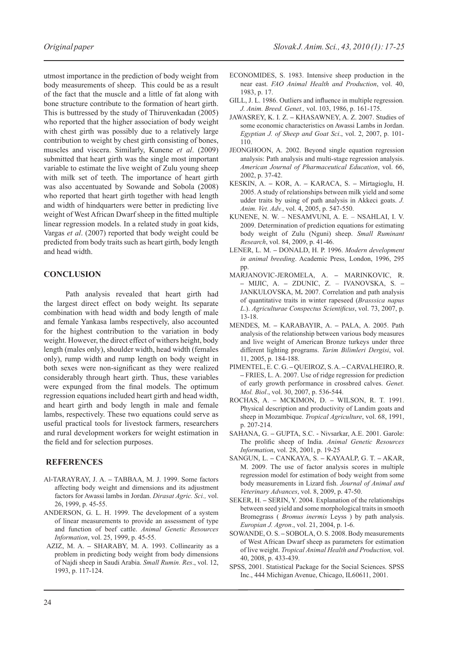utmost importance in the prediction of body weight from body measurements of sheep. This could be as a result of the fact that the muscle and a little of fat along with bone structure contribute to the formation of heart girth. This is buttressed by the study of Thiruvenkadan (2005) who reported that the higher association of body weight with chest girth was possibly due to a relatively large contribution to weight by chest girth consisting of bones, muscles and viscera. Similarly, Kunene *et al*. (2009) submitted that heart girth was the single most important variable to estimate the live weight of Zulu young sheep with milk set of teeth. The importance of heart girth was also accentuated by Sowande and Sobola (2008) who reported that heart girth together with head length and width of hindquarters were better in predicting live weight of West African Dwarf sheep in the fitted multiple linear regression models. In a related study in goat kids, Vargas *et al*. (2007) reported that body weight could be predicted from body traits such as heart girth, body length and head width.

## **CONCLUSION**

Path analysis revealed that heart girth had the largest direct effect on body weight. Its separate combination with head width and body length of male and female Yankasa lambs respectively, also accounted for the highest contribution to the variation in body weight. However, the direct effect of withers height, body length (males only), shoulder width, head width (females only), rump width and rump length on body weight in both sexes were non-significant as they were realized considerably through heart girth. Thus, these variables were expunged from the final models. The optimum regression equations included heart girth and head width, and heart girth and body length in male and female lambs, respectively. These two equations could serve as useful practical tools for livestock farmers, researchers and rural development workers for weight estimation in the field and for selection purposes.

## **REFERENCES**

- Al-TARAYRAY, J. A. **–** TABBAA, M. J. 1999. Some factors affecting body weight and dimensions and its adjustment factors for Awassi lambs in Jordan. *Dirasat Agric. Sci.,* vol. 26, 1999, p. 45-55.
- ANDERSON, G. L. H. 1999. The development of a system of linear measurements to provide an assessment of type and function of beef cattle. *Animal Genetic Resources Information*, vol. 25, 1999, p. 45-55.
- AZIZ, M. A.SHARABY, M. A. 1993. Collinearity as a problem in predicting body weight from body dimensions of Najdi sheep in Saudi Arabia. *Small Rumin. Res*., vol. 12, 1993, p. 117-124.
- ECONOMIDES, S. 1983. Intensive sheep production in the near east. *FAO Animal Health and Production*, vol. 40, 1983, p. 17.
- GILL, J. L. 1986. Outliers and influence in multiple regression*. J. Anim. Breed. Genet.,* vol. 103, 1986, p. 161-175.
- JAWASREY, K. I. Z. **–** KHASAWNEY, A. Z. 2007. Studies of some economic characteristics on Awassi Lambs in Jordan. *Egyptian J. of Sheep and Goat Sci*., vol. 2, 2007, p. 101- 110.
- JEONGHOON, A. 2002. Beyond single equation regression analysis: Path analysis and multi-stage regression analysis. *American Journal of Pharmaceutical Education*, vol. 66, 2002, p. 37-42.
- KESKIN, A. **–** KOR, A. **–** KARACA, S. **–** Mirtagioglu, H. 2005. A study of relationships between milk yield and some udder traits by using of path analysis in Akkeci goats. *J. Anim. Vet. Adv.*, vol. 4, 2005, p. 547-550.
- KUNENE, N. W. NESAMVUNI, A. E. NSAHLAI, I. V. 2009. Determination of prediction equations for estimating body weight of Zulu (Nguni) sheep. *Small Ruminant Research*, vol. 84, 2009, p. 41-46.
- LENER, L. M. **–** DONALD, H. P. 1996. *Modern development in animal breeding*. Academic Press, London, 1996, 295 pp.
- MARJANOVIC-JEROMELA, A. **–** MARINKOVIC, R. **–** MIJIC, A. **–** ZDUNIC, Z. – IVANOVSKA, S. **–** JANKULOVSKA, M**.** 2007. Correlation and path analysis of quantitative traits in winter rapeseed (*Brasssica napus L*.). *Agriculturae Conspectus Scientificus*, vol. 73, 2007, p. 13-18.
- MENDES, M. **–** KARABAYIR, A. **–** PALA, A. 2005. Path analysis of the relationship between various body measures and live weight of American Bronze turkeys under three different lighting programs. *Tarim Bilimleri Dergisi*, vol. 11, 2005, p. 184-188.
- PIMENTEL, E. C. G. **–** QUEIROZ, S. A. **–** CARVALHEIRO, R. **–** FRIES, L. A. 2007. Use of ridge regression for prediction of early growth performance in crossbred calves. *Genet. Mol. Biol*., vol. 30, 2007, p. 536-544.
- ROCHAS, A. **–** MCKIMON, D. **–** WILSON, R. T. 1991. Physical description and productivity of Landim goats and sheep in Mozambique. *Tropical Agriculture*, vol. 68, 1991, p. 207-214.
- SAHANA, G. **–** GUPTA, S.C. Nivsarkar, A.E. 2001. Garole: The prolific sheep of India. *Animal Genetic Resources Information*, vol. 28, 2001, p. 19-25
- SANGUN, L. **–** CANKAYA, S. **–** KAYAALP, G. T. **–** AKAR, M. 2009. The use of factor analysis scores in multiple regression model for estimation of body weight from some body measurements in Lizard fish. *Journal of Animal and Veterinary Advances*, vol. 8, 2009, p. 47-50.
- SEKER, H. **–** SERIN, Y. 2004. Explanation of the relationships between seed yield and some morphological traits in smooth Bromegrass ( *Bromus inermis* Leyss ) by path analysis. *Europian J. Agron*., vol. 21, 2004, p. 1-6.
- SOWANDE, O. S. **–** SOBOLA, O. S. 2008. Body measurements of West African Dwarf sheep as parameters for estimation of live weight. *Tropical Animal Health and Production,* vol. 40, 2008, p. 433-439.
- SPSS, 2001. Statistical Package for the Social Sciences. SPSS Inc., 444 Michigan Avenue, Chicago, IL60611, 2001.